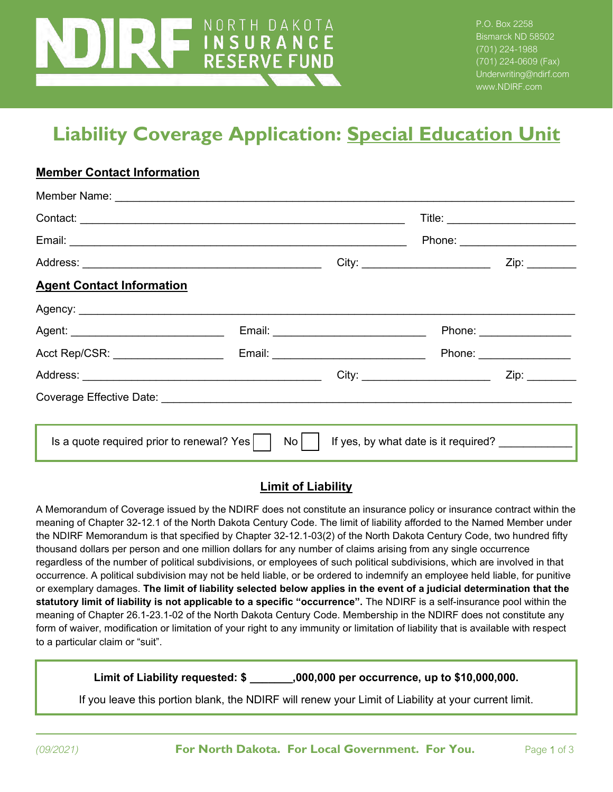# NORTH DAKOTA **REPRICATION:** SURANCE

P.O. Box 2258 Bismarck ND 58502 (701) 224-1988 (701) 224-0609 (Fax) Underwriting@ndirf.com www.NDIRF.com

# **Liability Coverage Application: Special Education Unit**

#### **Member Contact Information**

|                                                   |      |                                      | Phone: _____________________ |
|---------------------------------------------------|------|--------------------------------------|------------------------------|
|                                                   |      |                                      | Zip:                         |
| <b>Agent Contact Information</b>                  |      |                                      |                              |
|                                                   |      |                                      |                              |
|                                                   |      |                                      | Phone: ________________      |
| Acct Rep/CSR: ___________________                 |      |                                      | Phone: ________________      |
|                                                   |      |                                      | Zip: $\_\_$                  |
|                                                   |      |                                      |                              |
|                                                   |      |                                      |                              |
| Is a quote required prior to renewal? Yes $\vert$ | $No$ | If yes, by what date is it required? |                              |
|                                                   |      |                                      |                              |

#### **Limit of Liability**

A Memorandum of Coverage issued by the NDIRF does not constitute an insurance policy or insurance contract within the meaning of Chapter 32-12.1 of the North Dakota Century Code. The limit of liability afforded to the Named Member under the NDIRF Memorandum is that specified by Chapter 32-12.1-03(2) of the North Dakota Century Code, two hundred fifty thousand dollars per person and one million dollars for any number of claims arising from any single occurrence regardless of the number of political subdivisions, or employees of such political subdivisions, which are involved in that occurrence. A political subdivision may not be held liable, or be ordered to indemnify an employee held liable, for punitive or exemplary damages. **The limit of liability selected below applies in the event of a judicial determination that the statutory limit of liability is not applicable to a specific "occurrence".** The NDIRF is a self-insurance pool within the meaning of Chapter 26.1-23.1-02 of the North Dakota Century Code. Membership in the NDIRF does not constitute any form of waiver, modification or limitation of your right to any immunity or limitation of liability that is available with respect to a particular claim or "suit".

**Limit of Liability requested: \$ \_\_\_\_\_\_\_,000,000 per occurrence, up to \$10,000,000.**

If you leave this portion blank, the NDIRF will renew your Limit of Liability at your current limit.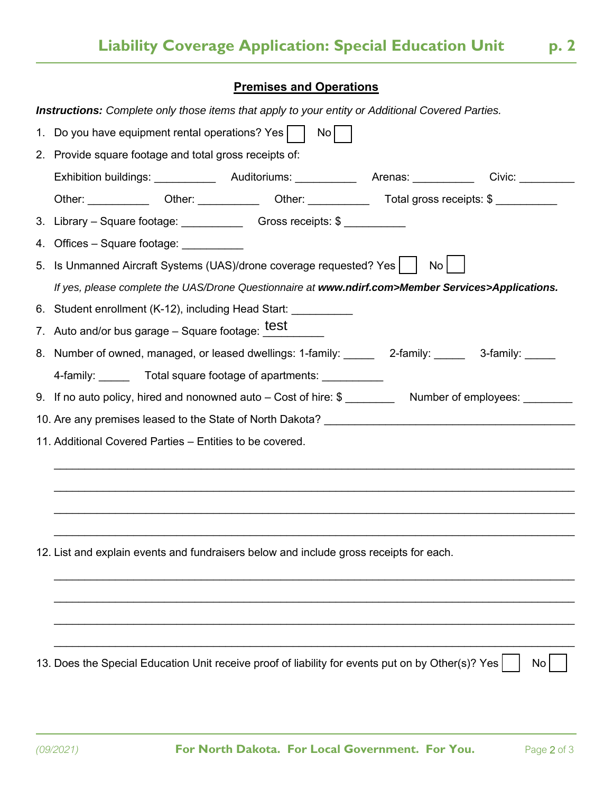### **Premises and Operations**

|    | <b>Instructions:</b> Complete only those items that apply to your entity or Additional Covered Parties. |  |  |  |  |  |
|----|---------------------------------------------------------------------------------------------------------|--|--|--|--|--|
| 1. | Do you have equipment rental operations? Yes    <br>Nol l                                               |  |  |  |  |  |
| 2. | Provide square footage and total gross receipts of:                                                     |  |  |  |  |  |
|    |                                                                                                         |  |  |  |  |  |
|    | Other: _____________ Other: _____________ Other: ____________ Total gross receipts: \$ ___________      |  |  |  |  |  |
|    | 3. Library - Square footage: Change and Gross receipts: \$                                              |  |  |  |  |  |
| 4. | Offices - Square footage: __________                                                                    |  |  |  |  |  |
| 5. | Is Unmanned Aircraft Systems (UAS)/drone coverage requested? Yes  <br>No <sub>1</sub>                   |  |  |  |  |  |
|    | If yes, please complete the UAS/Drone Questionnaire at www.ndirf.com>Member Services>Applications.      |  |  |  |  |  |
|    | 6. Student enrollment (K-12), including Head Start: __________                                          |  |  |  |  |  |
|    | 7. Auto and/or bus garage – Square footage: test                                                        |  |  |  |  |  |
|    | 8. Number of owned, managed, or leased dwellings: 1-family: ______ 2-family: _____ 3-family: _____      |  |  |  |  |  |
|    | 4-family: Total square footage of apartments:                                                           |  |  |  |  |  |
|    | Number of employees: ________<br>9. If no auto policy, hired and nonowned auto – Cost of hire: \$       |  |  |  |  |  |
|    | 10. Are any premises leased to the State of North Dakota? ______________________                        |  |  |  |  |  |
|    | 11. Additional Covered Parties – Entities to be covered.                                                |  |  |  |  |  |
|    |                                                                                                         |  |  |  |  |  |
|    |                                                                                                         |  |  |  |  |  |
|    |                                                                                                         |  |  |  |  |  |
|    |                                                                                                         |  |  |  |  |  |
|    | 12. List and explain events and fundraisers below and include gross receipts for each.                  |  |  |  |  |  |
|    |                                                                                                         |  |  |  |  |  |
|    |                                                                                                         |  |  |  |  |  |
|    |                                                                                                         |  |  |  |  |  |
|    |                                                                                                         |  |  |  |  |  |
|    | 13. Does the Special Education Unit receive proof of liability for events put on by Other(s)? Yes<br>No |  |  |  |  |  |
|    |                                                                                                         |  |  |  |  |  |